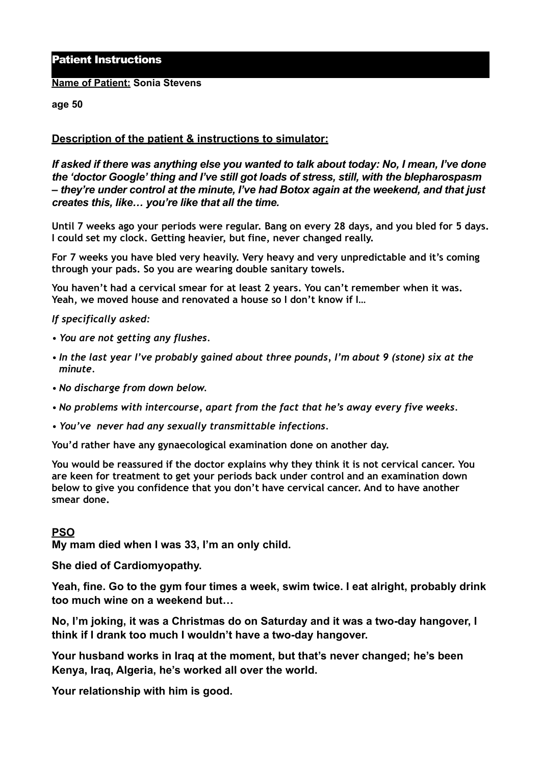# Patient Instructions

#### **Name of Patient: Sonia Stevens**

#### **age 50**

## **Description of the patient & instructions to simulator:**

*If asked if there was anything else you wanted to talk about today: No, I mean, I've done the 'doctor Google' thing and I've still got loads of stress, still, with the blepharospasm – they're under control at the minute, I've had Botox again at the weekend, and that just creates this, like… you're like that all the time.* 

**Until 7 weeks ago your periods were regular. Bang on every 28 days, and you bled for 5 days. I could set my clock. Getting heavier, but fine, never changed really.** 

**For 7 weeks you have bled very heavily. Very heavy and very unpredictable and it's coming through your pads. So you are wearing double sanitary towels.** 

**You haven't had a cervical smear for at least 2 years. You can't remember when it was. Yeah, we moved house and renovated a house so I don't know if I…** 

*If specifically asked:* 

- *• You are not getting any flushes.*
- *• In the last year I've probably gained about three pounds, I'm about 9 (stone) six at the minute.*
- *• No discharge from down below.*
- *• No problems with intercourse, apart from the fact that he's away every five weeks.*
- *• You've never had any sexually transmittable infections.*

**You'd rather have any gynaecological examination done on another day.** 

**You would be reassured if the doctor explains why they think it is not cervical cancer. You are keen for treatment to get your periods back under control and an examination down below to give you confidence that you don't have cervical cancer. And to have another smear done.** 

### **PSO**

**My mam died when I was 33, I'm an only child.** 

**She died of Cardiomyopathy.** 

**Yeah, fine. Go to the gym four times a week, swim twice. I eat alright, probably drink too much wine on a weekend but…** 

**No, I'm joking, it was a Christmas do on Saturday and it was a two-day hangover, I think if I drank too much I wouldn't have a two-day hangover.** 

**Your husband works in Iraq at the moment, but that's never changed; he's been Kenya, Iraq, Algeria, he's worked all over the world.** 

**Your relationship with him is good.**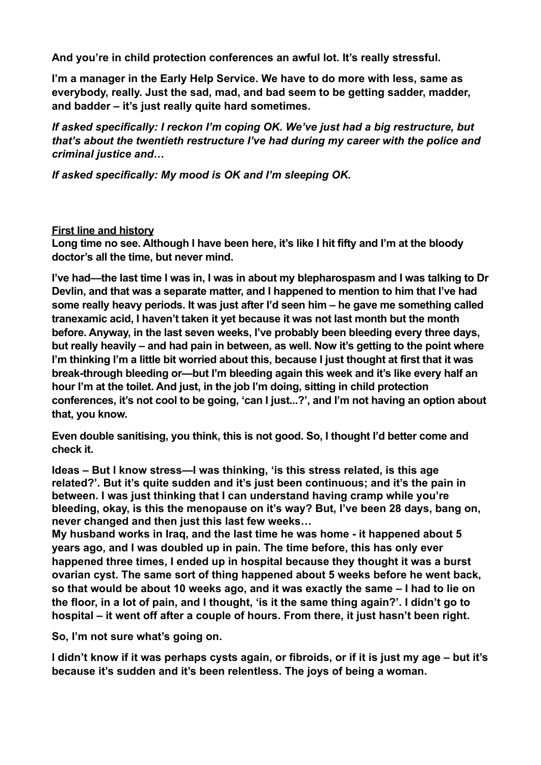**And you're in child protection conferences an awful lot. It's really stressful.** 

**I'm a manager in the Early Help Service. We have to do more with less, same as everybody, really. Just the sad, mad, and bad seem to be getting sadder, madder, and badder – it's just really quite hard sometimes.** 

*If asked specifically: I reckon I'm coping OK. We've just had a big restructure, but that's about the twentieth restructure I've had during my career with the police and criminal justice and…* 

*If asked specifically: My mood is OK and I'm sleeping OK.* 

# **First line and history**

**Long time no see. Although I have been here, it's like I hit fifty and I'm at the bloody doctor's all the time, but never mind.** 

**I've had—the last time I was in, I was in about my blepharospasm and I was talking to Dr Devlin, and that was a separate matter, and I happened to mention to him that I've had some really heavy periods. It was just after I'd seen him – he gave me something called tranexamic acid, I haven't taken it yet because it was not last month but the month before. Anyway, in the last seven weeks, I've probably been bleeding every three days, but really heavily – and had pain in between, as well. Now it's getting to the point where I'm thinking I'm a little bit worried about this, because I just thought at first that it was break-through bleeding or—but I'm bleeding again this week and it's like every half an hour I'm at the toilet. And just, in the job I'm doing, sitting in child protection conferences, it's not cool to be going, 'can I just...?', and I'm not having an option about that, you know.** 

**Even double sanitising, you think, this is not good. So, I thought I'd better come and check it.**

**Ideas – But I know stress—I was thinking, 'is this stress related, is this age related?'. But it's quite sudden and it's just been continuous; and it's the pain in between. I was just thinking that I can understand having cramp while you're bleeding, okay, is this the menopause on it's way? But, I've been 28 days, bang on, never changed and then just this last few weeks…** 

**My husband works in Iraq, and the last time he was home - it happened about 5 years ago, and I was doubled up in pain. The time before, this has only ever happened three times, I ended up in hospital because they thought it was a burst ovarian cyst. The same sort of thing happened about 5 weeks before he went back, so that would be about 10 weeks ago, and it was exactly the same – I had to lie on the floor, in a lot of pain, and I thought, 'is it the same thing again?'. I didn't go to hospital – it went off after a couple of hours. From there, it just hasn't been right.** 

**So, I'm not sure what's going on.** 

**I didn't know if it was perhaps cysts again, or fibroids, or if it is just my age – but it's because it's sudden and it's been relentless. The joys of being a woman.**